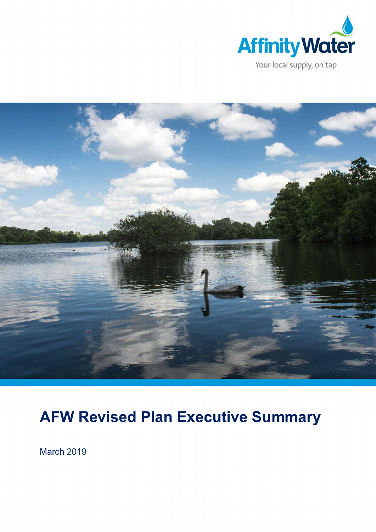



# AFW Revised Plan Executive Summary

March 2019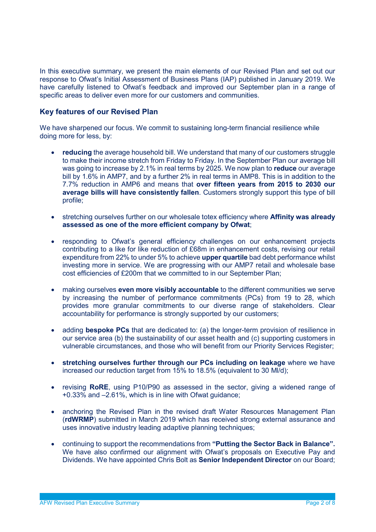In this executive summary, we present the main elements of our Revised Plan and set out our response to Ofwat's Initial Assessment of Business Plans (IAP) published in January 2019. We have carefully listened to Ofwat's feedback and improved our September plan in a range of specific areas to deliver even more for our customers and communities.

# Key features of our Revised Plan

We have sharpened our focus. We commit to sustaining long-term financial resilience while doing more for less, by:

- reducing the average household bill. We understand that many of our customers struggle to make their income stretch from Friday to Friday. In the September Plan our average bill was going to increase by 2.1% in real terms by 2025. We now plan to **reduce** our average bill by 1.6% in AMP7, and by a further 2% in real terms in AMP8. This is in addition to the 7.7% reduction in AMP6 and means that over fifteen years from 2015 to 2030 our average bills will have consistently fallen. Customers strongly support this type of bill profile;
- stretching ourselves further on our wholesale totex efficiency where Affinity was already assessed as one of the more efficient company by Ofwat;
- responding to Ofwat's general efficiency challenges on our enhancement projects contributing to a like for like reduction of £68m in enhancement costs, revising our retail expenditure from 22% to under 5% to achieve upper quartile bad debt performance whilst investing more in service. We are progressing with our AMP7 retail and wholesale base cost efficiencies of £200m that we committed to in our September Plan;
- making ourselves even more visibly accountable to the different communities we serve by increasing the number of performance commitments (PCs) from 19 to 28, which provides more granular commitments to our diverse range of stakeholders. Clear accountability for performance is strongly supported by our customers;
- adding **bespoke PCs** that are dedicated to: (a) the longer-term provision of resilience in our service area (b) the sustainability of our asset health and (c) supporting customers in vulnerable circumstances, and those who will benefit from our Priority Services Register;
- stretching ourselves further through our PCs including on leakage where we have increased our reduction target from 15% to 18.5% (equivalent to 30 Ml/d);
- revising RoRE, using P10/P90 as assessed in the sector, giving a widened range of +0.33% and –2.61%, which is in line with Ofwat guidance;
- anchoring the Revised Plan in the revised draft Water Resources Management Plan (rdWRMP) submitted in March 2019 which has received strong external assurance and uses innovative industry leading adaptive planning techniques;
- continuing to support the recommendations from "Putting the Sector Back in Balance". We have also confirmed our alignment with Ofwat's proposals on Executive Pay and Dividends. We have appointed Chris Bolt as Senior Independent Director on our Board;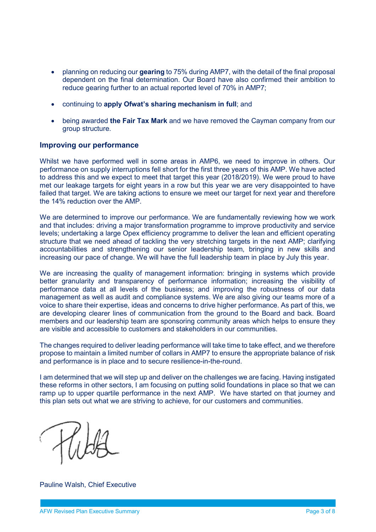- planning on reducing our gearing to 75% during AMP7, with the detail of the final proposal dependent on the final determination. Our Board have also confirmed their ambition to reduce gearing further to an actual reported level of 70% in AMP7;
- continuing to apply Ofwat's sharing mechanism in full; and
- being awarded the Fair Tax Mark and we have removed the Cayman company from our group structure.

### Improving our performance

Whilst we have performed well in some areas in AMP6, we need to improve in others. Our performance on supply interruptions fell short for the first three years of this AMP. We have acted to address this and we expect to meet that target this year (2018/2019). We were proud to have met our leakage targets for eight years in a row but this year we are very disappointed to have failed that target. We are taking actions to ensure we meet our target for next year and therefore the 14% reduction over the AMP.

We are determined to improve our performance. We are fundamentally reviewing how we work and that includes: driving a major transformation programme to improve productivity and service levels; undertaking a large Opex efficiency programme to deliver the lean and efficient operating structure that we need ahead of tackling the very stretching targets in the next AMP; clarifying accountabilities and strengthening our senior leadership team, bringing in new skills and increasing our pace of change. We will have the full leadership team in place by July this year.

We are increasing the quality of management information: bringing in systems which provide better granularity and transparency of performance information; increasing the visibility of performance data at all levels of the business; and improving the robustness of our data management as well as audit and compliance systems. We are also giving our teams more of a voice to share their expertise, ideas and concerns to drive higher performance. As part of this, we are developing clearer lines of communication from the ground to the Board and back. Board members and our leadership team are sponsoring community areas which helps to ensure they are visible and accessible to customers and stakeholders in our communities.

The changes required to deliver leading performance will take time to take effect, and we therefore propose to maintain a limited number of collars in AMP7 to ensure the appropriate balance of risk and performance is in place and to secure resilience-in-the-round.

I am determined that we will step up and deliver on the challenges we are facing. Having instigated these reforms in other sectors, I am focusing on putting solid foundations in place so that we can ramp up to upper quartile performance in the next AMP. We have started on that journey and this plan sets out what we are striving to achieve, for our customers and communities.

Pauline Walsh, Chief Executive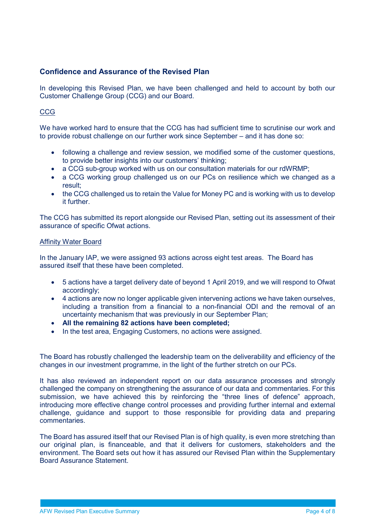# Confidence and Assurance of the Revised Plan

In developing this Revised Plan, we have been challenged and held to account by both our Customer Challenge Group (CCG) and our Board.

## CCG

We have worked hard to ensure that the CCG has had sufficient time to scrutinise our work and to provide robust challenge on our further work since September – and it has done so:

- following a challenge and review session, we modified some of the customer questions, to provide better insights into our customers' thinking;
- a CCG sub-group worked with us on our consultation materials for our rdWRMP;
- a CCG working group challenged us on our PCs on resilience which we changed as a result;
- the CCG challenged us to retain the Value for Money PC and is working with us to develop it further.

The CCG has submitted its report alongside our Revised Plan, setting out its assessment of their assurance of specific Ofwat actions.

#### Affinity Water Board

In the January IAP, we were assigned 93 actions across eight test areas. The Board has assured itself that these have been completed.

- 5 actions have a target delivery date of beyond 1 April 2019, and we will respond to Ofwat accordingly;
- 4 actions are now no longer applicable given intervening actions we have taken ourselves, including a transition from a financial to a non-financial ODI and the removal of an uncertainty mechanism that was previously in our September Plan;
- All the remaining 82 actions have been completed;
- In the test area, Engaging Customers, no actions were assigned.

The Board has robustly challenged the leadership team on the deliverability and efficiency of the changes in our investment programme, in the light of the further stretch on our PCs.

It has also reviewed an independent report on our data assurance processes and strongly challenged the company on strengthening the assurance of our data and commentaries. For this submission, we have achieved this by reinforcing the "three lines of defence" approach, introducing more effective change control processes and providing further internal and external challenge, guidance and support to those responsible for providing data and preparing commentaries.

The Board has assured itself that our Revised Plan is of high quality, is even more stretching than our original plan, is financeable, and that it delivers for customers, stakeholders and the environment. The Board sets out how it has assured our Revised Plan within the Supplementary Board Assurance Statement.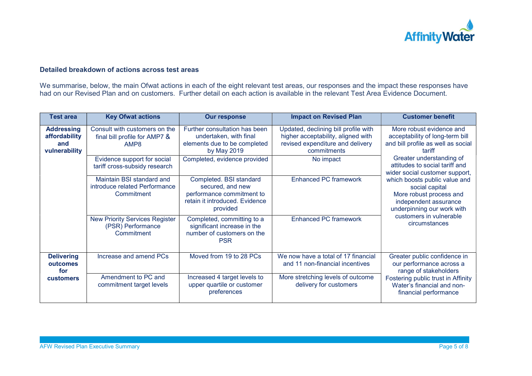

# Detailed breakdown of actions across test areas

We summarise, below, the main Ofwat actions in each of the eight relevant test areas, our responses and the impact these responses have had on our Revised Plan and on customers. Further detail on each action is available in the relevant Test Area Evidence Document.

| <b>Test area</b>                                           | <b>Key Ofwat actions</b>                                                 | <b>Our response</b>                                                                                                    | <b>Impact on Revised Plan</b>                                                                                                 | <b>Customer benefit</b>                                                                                                           |
|------------------------------------------------------------|--------------------------------------------------------------------------|------------------------------------------------------------------------------------------------------------------------|-------------------------------------------------------------------------------------------------------------------------------|-----------------------------------------------------------------------------------------------------------------------------------|
| <b>Addressing</b><br>affordability<br>and<br>vulnerability | Consult with customers on the<br>final bill profile for AMP7 &<br>AMP8   | Further consultation has been<br>undertaken, with final<br>elements due to be completed<br>by May 2019                 | Updated, declining bill profile with<br>higher acceptability, aligned with<br>revised expenditure and delivery<br>commitments | More robust evidence and<br>acceptability of long-term bill<br>and bill profile as well as social<br>tariff                       |
|                                                            | Evidence support for social<br>tariff cross-subsidy research             | Completed, evidence provided                                                                                           | No impact                                                                                                                     | Greater understanding of<br>attitudes to social tariff and<br>wider social customer support,                                      |
|                                                            | Maintain BSI standard and<br>introduce related Performance<br>Commitment | Completed. BSI standard<br>secured, and new<br>performance commitment to<br>retain it introduced. Evidence<br>provided | <b>Enhanced PC framework</b>                                                                                                  | which boosts public value and<br>social capital<br>More robust process and<br>independent assurance<br>underpinning our work with |
|                                                            | <b>New Priority Services Register</b><br>(PSR) Performance<br>Commitment | Completed, committing to a<br>significant increase in the<br>number of customers on the<br><b>PSR</b>                  | <b>Enhanced PC framework</b>                                                                                                  | customers in vulnerable<br>circumstances                                                                                          |
| <b>Delivering</b><br>outcomes<br>for                       | Increase and amend PCs                                                   | Moved from 19 to 28 PCs                                                                                                | We now have a total of 17 financial<br>and 11 non-financial incentives                                                        | Greater public confidence in<br>our performance across a<br>range of stakeholders                                                 |
| <b>customers</b>                                           | Amendment to PC and<br>commitment target levels                          | Increased 4 target levels to<br>upper quartile or customer<br>preferences                                              | More stretching levels of outcome<br>delivery for customers                                                                   | Fostering public trust in Affinity<br>Water's financial and non-<br>financial performance                                         |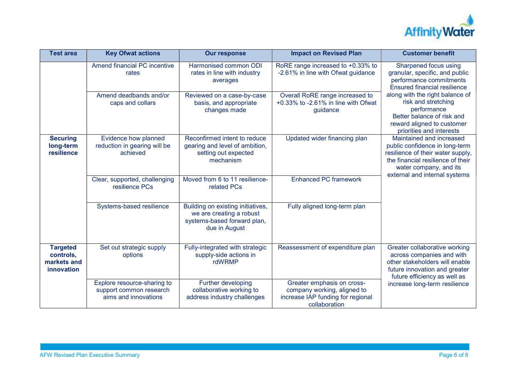

| <b>Test area</b>                                          | <b>Key Ofwat actions</b>                                                       | <b>Our response</b>                                                                                           | <b>Impact on Revised Plan</b>                                                                                   | <b>Customer benefit</b>                                                                                                                                                                         |
|-----------------------------------------------------------|--------------------------------------------------------------------------------|---------------------------------------------------------------------------------------------------------------|-----------------------------------------------------------------------------------------------------------------|-------------------------------------------------------------------------------------------------------------------------------------------------------------------------------------------------|
|                                                           | Amend financial PC incentive<br>rates                                          | Harmonised common ODI<br>rates in line with industry<br>averages                                              | RoRE range increased to +0.33% to<br>-2.61% in line with Ofwat guidance                                         | Sharpened focus using<br>granular, specific, and public<br>performance commitments<br><b>Ensured financial resilience</b>                                                                       |
|                                                           | Amend deadbands and/or<br>caps and collars                                     | Reviewed on a case-by-case<br>basis, and appropriate<br>changes made                                          | Overall RoRE range increased to<br>+0.33% to -2.61% in line with Ofwat<br>guidance                              | along with the right balance of<br>risk and stretching<br>performance<br>Better balance of risk and<br>reward aligned to customer<br>priorities and interests                                   |
| <b>Securing</b><br>long-term<br>resilience                | Evidence how planned<br>reduction in gearing will be<br>achieved               | Reconfirmed intent to reduce<br>gearing and level of ambition,<br>setting out expected<br>mechanism           | Updated wider financing plan                                                                                    | Maintained and increased<br>public confidence in long-term<br>resilience of their water supply,<br>the financial resilience of their<br>water company, and its<br>external and internal systems |
|                                                           | Clear, supported, challenging<br>resilience PCs                                | Moved from 6 to 11 resilience-<br>related PCs                                                                 | <b>Enhanced PC framework</b>                                                                                    |                                                                                                                                                                                                 |
|                                                           | Systems-based resilience                                                       | Building on existing initiatives,<br>we are creating a robust<br>systems-based forward plan,<br>due in August | Fully aligned long-term plan                                                                                    |                                                                                                                                                                                                 |
| <b>Targeted</b><br>controls,<br>markets and<br>innovation | Set out strategic supply<br>options                                            | Fully-integrated with strategic<br>supply-side actions in<br>rdWRMP                                           | Reassessment of expenditure plan                                                                                | Greater collaborative working<br>across companies and with<br>other stakeholders will enable<br>future innovation and greater<br>future efficiency as well as                                   |
|                                                           | Explore resource-sharing to<br>support common research<br>aims and innovations | Further developing<br>collaborative working to<br>address industry challenges                                 | Greater emphasis on cross-<br>company working, aligned to<br>increase IAP funding for regional<br>collaboration | increase long-term resilience                                                                                                                                                                   |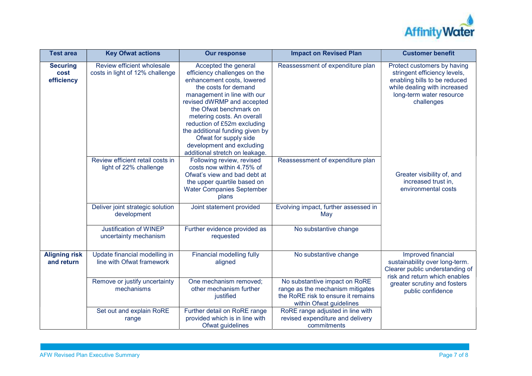

| <b>Test area</b>                      | <b>Key Ofwat actions</b>                                      | <b>Our response</b>                                                                                                                                                                                                                                                                                                                                                                       | <b>Impact on Revised Plan</b>                                                                                                      | <b>Customer benefit</b>                                                                                                                                                       |
|---------------------------------------|---------------------------------------------------------------|-------------------------------------------------------------------------------------------------------------------------------------------------------------------------------------------------------------------------------------------------------------------------------------------------------------------------------------------------------------------------------------------|------------------------------------------------------------------------------------------------------------------------------------|-------------------------------------------------------------------------------------------------------------------------------------------------------------------------------|
| <b>Securing</b><br>cost<br>efficiency | Review efficient wholesale<br>costs in light of 12% challenge | Accepted the general<br>efficiency challenges on the<br>enhancement costs, lowered<br>the costs for demand<br>management in line with our<br>revised dWRMP and accepted<br>the Ofwat benchmark on<br>metering costs. An overall<br>reduction of £52m excluding<br>the additional funding given by<br>Ofwat for supply side<br>development and excluding<br>additional stretch on leakage. | Reassessment of expenditure plan                                                                                                   | Protect customers by having<br>stringent efficiency levels,<br>enabling bills to be reduced<br>while dealing with increased<br>long-term water resource<br>challenges         |
|                                       | Review efficient retail costs in<br>light of 22% challenge    | Following review, revised<br>costs now within 4.75% of<br>Ofwat's view and bad debt at<br>the upper quartile based on<br><b>Water Companies September</b><br>plans                                                                                                                                                                                                                        | Reassessment of expenditure plan                                                                                                   | Greater visibility of, and<br>increased trust in,<br>environmental costs                                                                                                      |
|                                       | Deliver joint strategic solution<br>development               | Joint statement provided                                                                                                                                                                                                                                                                                                                                                                  | Evolving impact, further assessed in<br>May                                                                                        |                                                                                                                                                                               |
|                                       | <b>Justification of WINEP</b><br>uncertainty mechanism        | Further evidence provided as<br>requested                                                                                                                                                                                                                                                                                                                                                 | No substantive change                                                                                                              |                                                                                                                                                                               |
| <b>Aligning risk</b><br>and return    | Update financial modelling in<br>line with Ofwat framework    | Financial modelling fully<br>aligned                                                                                                                                                                                                                                                                                                                                                      | No substantive change                                                                                                              | Improved financial<br>sustainability over long-term.<br>Clearer public understanding of<br>risk and return which enables<br>greater scrutiny and fosters<br>public confidence |
|                                       | Remove or justify uncertainty<br>mechanisms                   | One mechanism removed;<br>other mechanism further<br>justified                                                                                                                                                                                                                                                                                                                            | No substantive impact on RoRE<br>range as the mechanism mitigates<br>the RoRE risk to ensure it remains<br>within Ofwat guidelines |                                                                                                                                                                               |
|                                       | Set out and explain RoRE<br>range                             | Further detail on RoRE range<br>provided which is in line with<br>Ofwat guidelines                                                                                                                                                                                                                                                                                                        | RoRE range adjusted in line with<br>revised expenditure and delivery<br>commitments                                                |                                                                                                                                                                               |